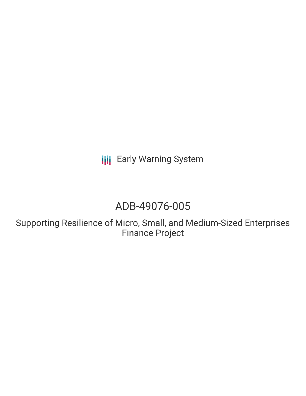**III** Early Warning System

# ADB-49076-005

Supporting Resilience of Micro, Small, and Medium-Sized Enterprises Finance Project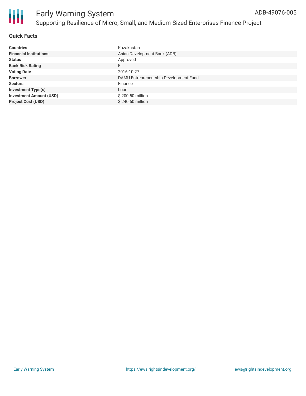

#### **Quick Facts**

| <b>Countries</b>               | Kazakhstan                             |
|--------------------------------|----------------------------------------|
| <b>Financial Institutions</b>  | Asian Development Bank (ADB)           |
| <b>Status</b>                  | Approved                               |
| <b>Bank Risk Rating</b>        | FI                                     |
| <b>Voting Date</b>             | 2016-10-27                             |
| <b>Borrower</b>                | DAMU Entrepreneurship Development Fund |
| <b>Sectors</b>                 | Finance                                |
| <b>Investment Type(s)</b>      | Loan                                   |
| <b>Investment Amount (USD)</b> | \$200.50 million                       |
| <b>Project Cost (USD)</b>      | $$240.50$ million                      |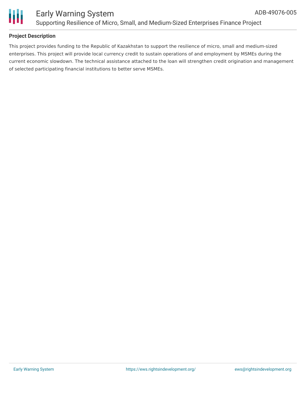



### **Project Description**

This project provides funding to the Republic of Kazakhstan to support the resilience of micro, small and medium-sized enterprises. This project will provide local currency credit to sustain operations of and employment by MSMEs during the current economic slowdown. The technical assistance attached to the loan will strengthen credit origination and management of selected participating financial institutions to better serve MSMEs.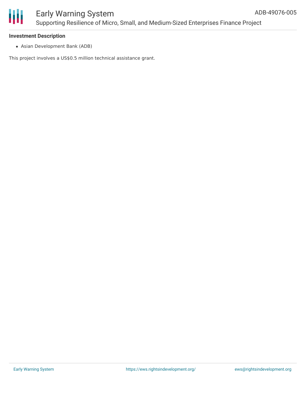

# Early Warning System Supporting Resilience of Micro, Small, and Medium-Sized Enterprises Finance Project

#### **Investment Description**

Asian Development Bank (ADB)

This project involves a US\$0.5 million technical assistance grant.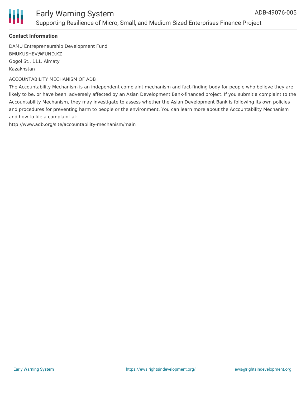

### Early Warning System Supporting Resilience of Micro, Small, and Medium-Sized Enterprises Finance Project

#### **Contact Information**

DAMU Entrepreneurship Development Fund BMUKUSHEV@FUND.KZ Gogol St., 111, Almaty Kazakhstan

#### ACCOUNTABILITY MECHANISM OF ADB

The Accountability Mechanism is an independent complaint mechanism and fact-finding body for people who believe they are likely to be, or have been, adversely affected by an Asian Development Bank-financed project. If you submit a complaint to the Accountability Mechanism, they may investigate to assess whether the Asian Development Bank is following its own policies and procedures for preventing harm to people or the environment. You can learn more about the Accountability Mechanism and how to file a complaint at:

http://www.adb.org/site/accountability-mechanism/main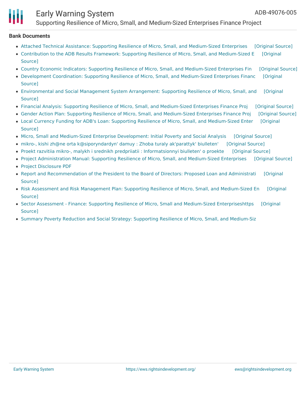# Early Warning System

Supporting Resilience of Micro, Small, and Medium-Sized Enterprises Finance Project

#### **Bank Documents**

- Attached Technical Assistance: Supporting Resilience of Micro, Small, and [Medium-Sized](https://ewsdata.rightsindevelopment.org/files/documents/05/ADB-49076-005_jfc5Kpk.pdf) Enterprises [\[Original](https://www.adb.org/sites/default/files/linked-documents/49076-005-ata.pdf) Source]
- Contribution to the ADB Results Framework: Supporting Resilience of Micro, Small, and [Medium-Sized](https://www.adb.org/sites/default/files/linked-documents/49076-005-crf.pdf) E [Original Source]
- Country Economic Indicators: Supporting Resilience of Micro, Small, and [Medium-Sized](https://ewsdata.rightsindevelopment.org/files/documents/05/ADB-49076-005_A9ATVZI.pdf) Enterprises Fin [\[Original](https://www.adb.org/sites/default/files/linked-documents/49076-005-cei.pdf) Source]
- Development Coordination: Supporting Resilience of Micro, Small, and [Medium-Sized](https://ewsdata.rightsindevelopment.org/files/documents/05/ADB-49076-005_invM6L2.pdf) Enterprises Financ [Original Source]
- [Environmental](https://ewsdata.rightsindevelopment.org/files/documents/05/ADB-49076-005_WWUx2JA.pdf) and Social Management System Arrangement: Supporting Resilience of Micro, Small, and [Original Source]
- Financial Analysis: Supporting Resilience of Micro, Small, and [Medium-Sized](https://ewsdata.rightsindevelopment.org/files/documents/05/ADB-49076-005_X8OlRTk.pdf) Enterprises Finance Proj [\[Original](https://www.adb.org/sites/default/files/linked-documents/49076-005-fa.pdf) Source]
- Gender Action Plan: Supporting Resilience of Micro, Small, and [Medium-Sized](https://ewsdata.rightsindevelopment.org/files/documents/05/ADB-49076-005_UBHo64G.pdf) Enterprises Finance Proj [\[Original](https://www.adb.org/sites/default/files/project-document/202751/49076-005-gap.pdf) Source]
- Local Currency Funding for ADB's Loan: Supporting Resilience of Micro, Small, and [Medium-Sized](https://ewsdata.rightsindevelopment.org/files/documents/05/ADB-49076-005_E2WD4Wn.pdf) Enter [Original Source]
- Micro, Small and Medium-Sized Enterprise [Development:](https://ewsdata.rightsindevelopment.org/files/documents/05/ADB-49076-005_zTWW0yI.pdf) Initial Poverty and Social Analysis [\[Original](https://www.adb.org/projects/documents/micro-small-and-medium-sized-enterprise-development-ipsa) Source]
- mikro-, kishi zh@ne orta [k@siporyndardyn'](https://ewsdata.rightsindevelopment.org/files/documents/05/ADB-49076-005_nPY0trC.pdf) damuy : Zhoba turaly ak'parattyk' biulleten' [\[Original](https://www.adb.org/kk/projects/documents/49076-005-project-data-sheet) Source]
- Proekt razvitiia mikro-, malykh i srednikh predpriiatii : [Informatsionnyi](https://ewsdata.rightsindevelopment.org/files/documents/05/ADB-49076-005.pdf) biulleten' o proekte [\[Original](https://www.adb.org/ru/projects/documents/49076-005-project-data-sheet) Source]
- Project [Administration](https://ewsdata.rightsindevelopment.org/files/documents/05/ADB-49076-005_S7bDfiT.pdf) Manual: Supporting Resilience of Micro, Small, and Medium-Sized Enterprises [\[Original](https://www.adb.org/sites/default/files/project-document/202746/49076-005-pam.pdf) Source]
- Project [Disclosure](https://www.adb.org/printpdf/projects/49076-005/main) PDF
- Report and [Recommendation](https://www.adb.org/sites/default/files/project-document/202741/49076-005-rrp.pdf) of the President to the Board of Directors: Proposed Loan and Administrati [Original Source]
- Risk Assessment and Risk Management Plan: Supporting Resilience of Micro, Small, and [Medium-Sized](https://www.adb.org/sites/default/files/linked-documents/49076-005-ra.pdf) En [Original Source]
- Sector Assessment Finance: Supporting Resilience of Micro, Small and Medium-Sized [Enterpriseshttps](https://www.adb.org/sites/default/files/linked-documents/49076-005-ssa.pdf) [Original Source]
- Summary Poverty Reduction and Social Strategy: Supporting Resilience of Micro, Small, and [Medium-Siz](https://www.adb.org/sites/default/files/linked-documents/49076-005-sprss.pdf)